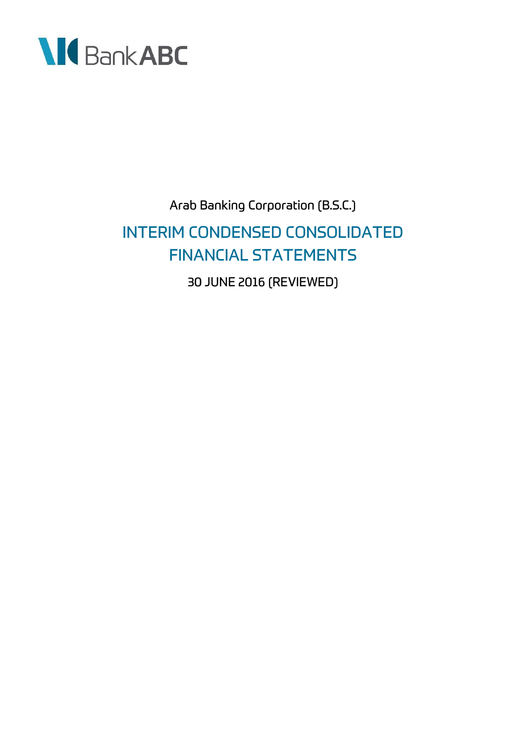

# Arab Banking Corporation (B.S.C.) **INTERIM CONDENSED CONSOLIDATED FINANCIAL STATEMENTS** 30 JUNE 2016 (REVIEWED)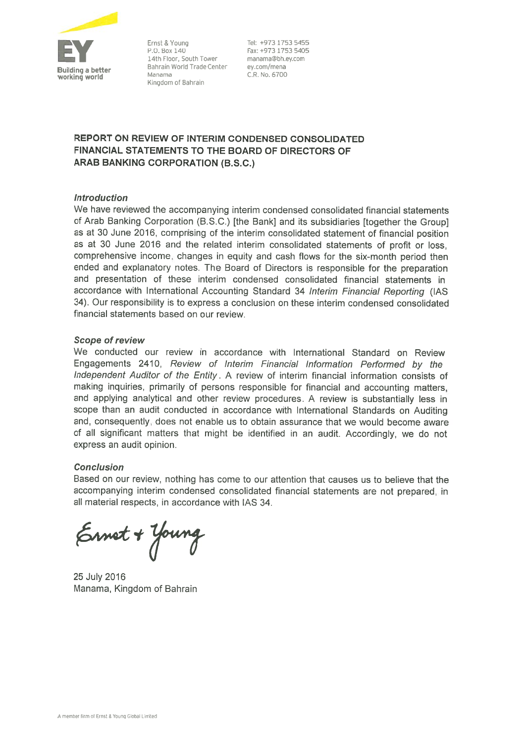

Ernst & Young P.O. Box 140 14th Floor, South Tower Bahrain World Trade Center Manama Kingdom of Bahrain

Tel: +973 1753 5455 Fax: +973 1753 5405 manama@bh.ey.com ey.com/mena C.R. No. 6700

### REPORT ON REVIEW OF INTERIM CONDENSED CONSOLIDATED **FINANCIAL STATEMENTS TO THE BOARD OF DIRECTORS OF ARAB BANKING CORPORATION (B.S.C.)**

### **Introduction**

We have reviewed the accompanying interim condensed consolidated financial statements of Arab Banking Corporation (B.S.C.) [the Bank] and its subsidiaries [together the Group] as at 30 June 2016, comprising of the interim consolidated statement of financial position as at 30 June 2016 and the related interim consolidated statements of profit or loss, comprehensive income, changes in equity and cash flows for the six-month period then ended and explanatory notes. The Board of Directors is responsible for the preparation and presentation of these interim condensed consolidated financial statements in accordance with International Accounting Standard 34 Interim Financial Reporting (IAS 34). Our responsibility is to express a conclusion on these interim condensed consolidated financial statements based on our review.

### **Scope of review**

We conducted our review in accordance with International Standard on Review Engagements 2410, Review of Interim Financial Information Performed by the Independent Auditor of the Entity. A review of interim financial information consists of making inquiries, primarily of persons responsible for financial and accounting matters, and applying analytical and other review procedures. A review is substantially less in scope than an audit conducted in accordance with International Standards on Auditing and, consequently, does not enable us to obtain assurance that we would become aware of all significant matters that might be identified in an audit. Accordingly, we do not express an audit opinion.

### **Conclusion**

Based on our review, nothing has come to our attention that causes us to believe that the accompanying interim condensed consolidated financial statements are not prepared, in all material respects, in accordance with IAS 34.

Ernet + Young

25 July 2016 Manama, Kingdom of Bahrain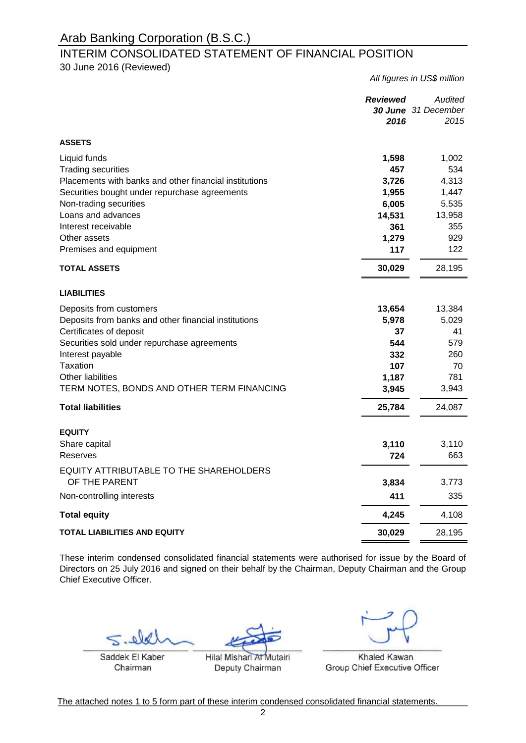### INTERIM CONSOLIDATED STATEMENT OF FINANCIAL POSITION

30 June 2016 (Reviewed)

*All figures in US\$ million Reviewed Audited 30 June 31 December 2016 2015* **ASSETS**  Liquid funds **1,598** 1,002 Trading securities **457** 534 Placements with banks and other financial institutions **3,726** 4,313 Securities bought under repurchase agreements **1,955** 1,447 Non-trading securities **6,005** 5,535 Loans and advances **14,531** 13,958 Interest receivable **355** Other assets **1,279** 929 **Premises and equipment 122** 122 **- TOTAL ASSETS 30,029** 28,195 **LIABILITIES Deposits from customers <b>13,384** 13,384 13,384 Deposits from banks and other financial institutions **5,978** 5,029 Certificates of deposit **37** 41 Securities sold under repurchase agreements **544** 579 Interest payable **332** 260 Taxation **107** 70 Other liabilities **1,187** 781 TERM NOTES, BONDS AND OTHER TERM FINANCING **3,945** 3,943 **- Total liabilities 25,784** 24,087 **EQUITY** Share capital **3,110** 3,110 Reserves **724** 663 **- 3,834** 3,773 Non-controlling interests **411** 335 **- Total equity 4,245** 4,108 **TOTAL LIABILITIES AND EQUITY 30,029** 28,195 EQUITY ATTRIBUTABLE TO THE SHAREHOLDERS OF THE PARENT

These interim condensed consolidated financial statements were authorised for issue by the Board of Directors on 25 July 2016 and signed on their behalf by the Chairman, Deputy Chairman and the Group Chief Executive Officer.

 $\frac{1}{2}$ 

Saddek El Kaber Chairman

\_\_\_\_\_\_\_\_\_\_\_\_\_\_\_\_\_\_\_\_\_\_\_ Hilal Mishari Al Mutairi Deputy Chairman

Khaled Kawan Group Chief Executive Officer

The attached notes 1 to 5 form part of these interim condensed consolidated financial statements.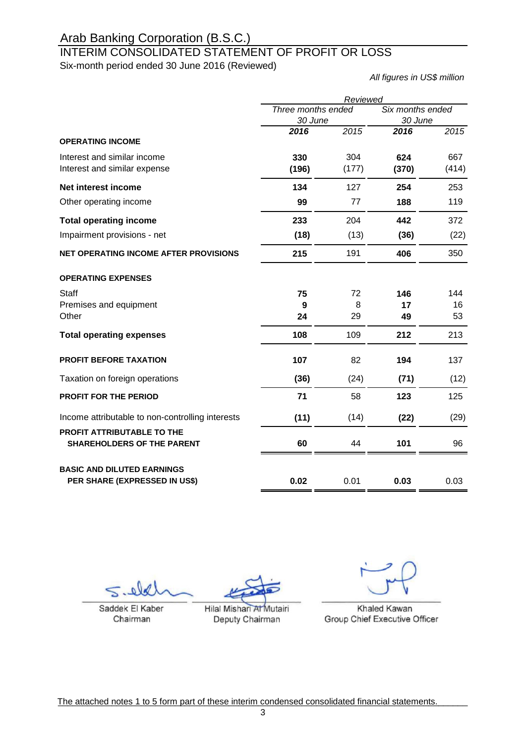# INTERIM CONSOLIDATED STATEMENT OF PROFIT OR LOSS

Six-month period ended 30 June 2016 (Reviewed)

*All figures in US\$ million*

|                                                                        | Reviewed                |       |                  |       |  |
|------------------------------------------------------------------------|-------------------------|-------|------------------|-------|--|
|                                                                        | Three months ended      |       | Six months ended |       |  |
|                                                                        | 30 June<br>2016<br>2015 |       | 30 June          |       |  |
|                                                                        |                         |       | 2016             | 2015  |  |
| <b>OPERATING INCOME</b>                                                |                         |       |                  |       |  |
| Interest and similar income                                            | 330                     | 304   | 624              | 667   |  |
| Interest and similar expense                                           | (196)                   | (177) | (370)            | (414) |  |
| Net interest income                                                    | 134                     | 127   | 254              | 253   |  |
| Other operating income                                                 | 99                      | 77    | 188              | 119   |  |
| <b>Total operating income</b>                                          | 233                     | 204   | 442              | 372   |  |
| Impairment provisions - net                                            | (18)                    | (13)  | (36)             | (22)  |  |
| <b>NET OPERATING INCOME AFTER PROVISIONS</b>                           | 215                     | 191   | 406              | 350   |  |
| <b>OPERATING EXPENSES</b>                                              |                         |       |                  |       |  |
| <b>Staff</b>                                                           | 75                      | 72    | 146              | 144   |  |
| Premises and equipment                                                 | 9                       | 8     | 17               | 16    |  |
| Other                                                                  | 24                      | 29    | 49               | 53    |  |
| <b>Total operating expenses</b>                                        | 108                     | 109   | 212              | 213   |  |
| <b>PROFIT BEFORE TAXATION</b>                                          | 107                     | 82    | 194              | 137   |  |
| Taxation on foreign operations                                         | (36)                    | (24)  | (71)             | (12)  |  |
| <b>PROFIT FOR THE PERIOD</b>                                           | 71                      | 58    | 123              | 125   |  |
| Income attributable to non-controlling interests                       | (11)                    | (14)  | (22)             | (29)  |  |
| <b>PROFIT ATTRIBUTABLE TO THE</b><br><b>SHAREHOLDERS OF THE PARENT</b> | 60                      | 44    | 101              | 96    |  |
| <b>BASIC AND DILUTED EARNINGS</b>                                      |                         |       |                  |       |  |
| PER SHARE (EXPRESSED IN US\$)                                          | 0.02                    | 0.01  | 0.03             | 0.03  |  |

 $\overline{\phantom{a}}$  $S = 1$ 

Saddek El Kaber Chairman

Hilal Mishari At Mutairi Deputy Chairman

 $H_1$ 

 $\overline{\phantom{a}}$ 

 $\Box$ 

Khaled Kawan Group Chief Executive Officer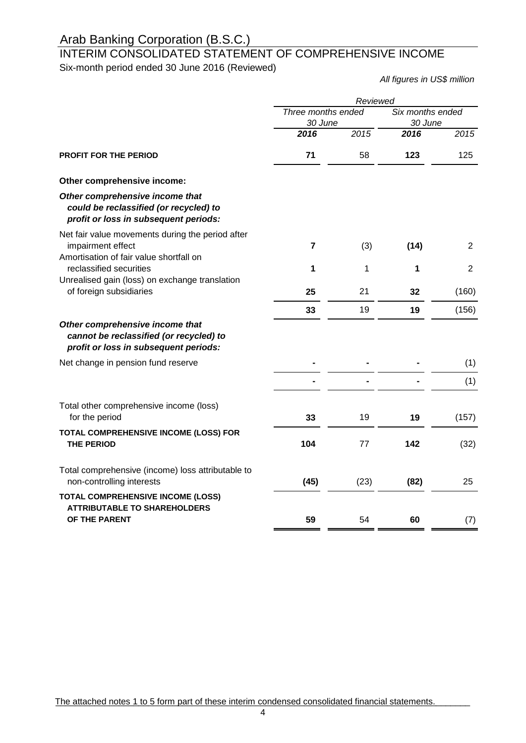# INTERIM CONSOLIDATED STATEMENT OF COMPREHENSIVE INCOME

Six-month period ended 30 June 2016 (Reviewed)

*All figures in US\$ million*

|                                                                                                                     | Reviewed                      |      |      |                             |  |
|---------------------------------------------------------------------------------------------------------------------|-------------------------------|------|------|-----------------------------|--|
|                                                                                                                     | Three months ended<br>30 June |      |      | Six months ended<br>30 June |  |
|                                                                                                                     | 2016                          | 2015 | 2016 | 2015                        |  |
| <b>PROFIT FOR THE PERIOD</b>                                                                                        | 71                            | 58   | 123  | 125                         |  |
| Other comprehensive income:                                                                                         |                               |      |      |                             |  |
| Other comprehensive income that<br>could be reclassified (or recycled) to<br>profit or loss in subsequent periods:  |                               |      |      |                             |  |
| Net fair value movements during the period after<br>impairment effect<br>Amortisation of fair value shortfall on    | 7                             | (3)  | (14) | 2                           |  |
| reclassified securities                                                                                             | 1                             | 1    | 1    | 2                           |  |
| Unrealised gain (loss) on exchange translation<br>of foreign subsidiaries                                           | 25                            | 21   | 32   | (160)                       |  |
|                                                                                                                     | 33                            | 19   | 19   | (156)                       |  |
| Other comprehensive income that<br>cannot be reclassified (or recycled) to<br>profit or loss in subsequent periods: |                               |      |      |                             |  |
| Net change in pension fund reserve                                                                                  |                               |      |      | (1)                         |  |
|                                                                                                                     |                               |      |      | (1)                         |  |
| Total other comprehensive income (loss)<br>for the period                                                           | 33                            | 19   | 19   | (157)                       |  |
| TOTAL COMPREHENSIVE INCOME (LOSS) FOR<br><b>THE PERIOD</b>                                                          | 104                           | 77   | 142  | (32)                        |  |
| Total comprehensive (income) loss attributable to<br>non-controlling interests                                      | (45)                          | (23) | (82) | 25                          |  |
| <b>TOTAL COMPREHENSIVE INCOME (LOSS)</b><br><b>ATTRIBUTABLE TO SHAREHOLDERS</b>                                     |                               |      |      |                             |  |
| OF THE PARENT                                                                                                       | 59                            | 54   | 60   | (7)                         |  |

The attached notes 1 to 5 form part of these interim condensed consolidated financial statements.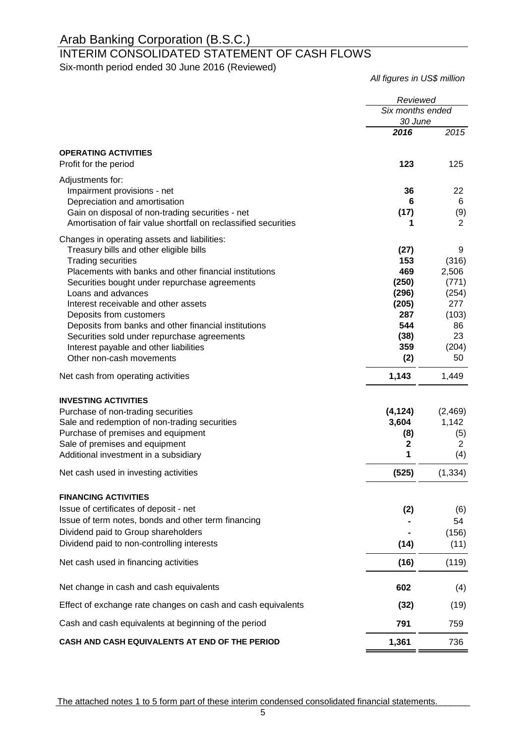# INTERIM CONSOLIDATED STATEMENT OF CASH FLOWS

Six-month period ended 30 June 2016 (Reviewed)

*All figures in US\$ million*

|                                                                     | Reviewed         |                |
|---------------------------------------------------------------------|------------------|----------------|
|                                                                     | Six months ended |                |
|                                                                     | 30 June          |                |
|                                                                     | 2016             | 2015           |
| <b>OPERATING ACTIVITIES</b>                                         |                  |                |
| Profit for the period                                               | 123              | 125            |
| Adjustments for:                                                    |                  |                |
| Impairment provisions - net                                         | 36               | 22             |
| Depreciation and amortisation                                       | 6                | 6              |
| Gain on disposal of non-trading securities - net                    | (17)             | (9)            |
| Amortisation of fair value shortfall on reclassified securities     | 1                | 2              |
| Changes in operating assets and liabilities:                        |                  |                |
| Treasury bills and other eligible bills                             | (27)             | 9              |
| <b>Trading securities</b>                                           | 153              | (316)          |
| Placements with banks and other financial institutions              | 469              | 2,506<br>(771) |
| Securities bought under repurchase agreements<br>Loans and advances | (250)<br>(296)   | (254)          |
| Interest receivable and other assets                                | (205)            | 277            |
| Deposits from customers                                             | 287              | (103)          |
| Deposits from banks and other financial institutions                | 544              | 86             |
| Securities sold under repurchase agreements                         | (38)             | 23             |
| Interest payable and other liabilities                              | 359              | (204)          |
| Other non-cash movements                                            | (2)              | 50             |
| Net cash from operating activities                                  | 1,143            | 1,449          |
| <b>INVESTING ACTIVITIES</b>                                         |                  |                |
| Purchase of non-trading securities                                  | (4, 124)         | (2,469)        |
| Sale and redemption of non-trading securities                       | 3,604            | 1,142          |
| Purchase of premises and equipment                                  | (8)              | (5)            |
| Sale of premises and equipment                                      | $\mathbf 2$      | $\overline{2}$ |
| Additional investment in a subsidiary                               | 1                | (4)            |
| Net cash used in investing activities                               | (525)            | (1, 334)       |
| <b>FINANCING ACTIVITIES</b>                                         |                  |                |
| Issue of certificates of deposit - net                              | (2)              | (6)            |
| Issue of term notes, bonds and other term financing                 |                  | 54             |
| Dividend paid to Group shareholders                                 |                  | (156)          |
| Dividend paid to non-controlling interests                          | (14)             | (11)           |
| Net cash used in financing activities                               | (16)             | (119)          |
| Net change in cash and cash equivalents                             | 602              | (4)            |
| Effect of exchange rate changes on cash and cash equivalents        | (32)             | (19)           |
| Cash and cash equivalents at beginning of the period                | 791              | 759            |
| CASH AND CASH EQUIVALENTS AT END OF THE PERIOD                      | 1,361            | 736            |
|                                                                     |                  |                |

The attached notes 1 to 5 form part of these interim condensed consolidated financial statements.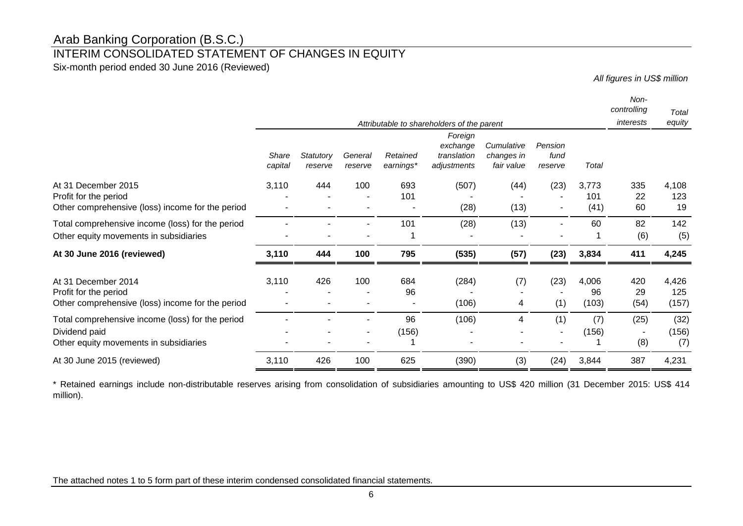### INTERIM CONSOLIDATED STATEMENT OF CHANGES IN EQUITY

Six-month period ended 30 June 2016 (Reviewed)

*All figures in US\$ million*

|                                                                                                             |                  |                      |                    |                       | Attributable to shareholders of the parent        |                                        |                            |                      | Non-<br>controlling<br>interests | Total<br>equity       |
|-------------------------------------------------------------------------------------------------------------|------------------|----------------------|--------------------|-----------------------|---------------------------------------------------|----------------------------------------|----------------------------|----------------------|----------------------------------|-----------------------|
|                                                                                                             | Share<br>capital | Statutory<br>reserve | General<br>reserve | Retained<br>earnings* | Foreign<br>exchange<br>translation<br>adjustments | Cumulative<br>changes in<br>fair value | Pension<br>fund<br>reserve | Total                |                                  |                       |
| At 31 December 2015<br>Profit for the period<br>Other comprehensive (loss) income for the period            | 3,110            | 444                  | 100                | 693<br>101            | (507)<br>(28)                                     | (44)<br>(13)                           | (23)                       | 3,773<br>101<br>(41) | 335<br>22<br>60                  | 4,108<br>123<br>19    |
| Total comprehensive income (loss) for the period<br>Other equity movements in subsidiaries                  |                  |                      |                    | 101                   | (28)                                              | (13)                                   |                            | 60                   | 82<br>(6)                        | 142<br>(5)            |
| At 30 June 2016 (reviewed)                                                                                  | 3,110            | 444                  | 100                | 795                   | (535)                                             | (57)                                   | (23)                       | 3,834                | 411                              | 4,245                 |
| At 31 December 2014<br>Profit for the period<br>Other comprehensive (loss) income for the period            | 3,110            | 426                  | 100                | 684<br>96             | (284)<br>(106)                                    | (7)<br>4                               | (23)<br>(1)                | 4,006<br>96<br>(103) | 420<br>29<br>(54)                | 4,426<br>125<br>(157) |
| Total comprehensive income (loss) for the period<br>Dividend paid<br>Other equity movements in subsidiaries |                  |                      |                    | 96<br>(156)           | (106)                                             | 4                                      | (1)                        | (7)<br>(156)         | (25)<br>(8)                      | (32)<br>(156)<br>(7)  |
| At 30 June 2015 (reviewed)                                                                                  | 3,110            | 426                  | 100                | 625                   | (390)                                             | (3)                                    | (24)                       | 3,844                | 387                              | 4,231                 |
|                                                                                                             |                  |                      |                    |                       |                                                   |                                        |                            |                      |                                  |                       |

\* Retained earnings include non-distributable reserves arising from consolidation of subsidiaries amounting to US\$ 420 million (31 December 2015: US\$ 414 million).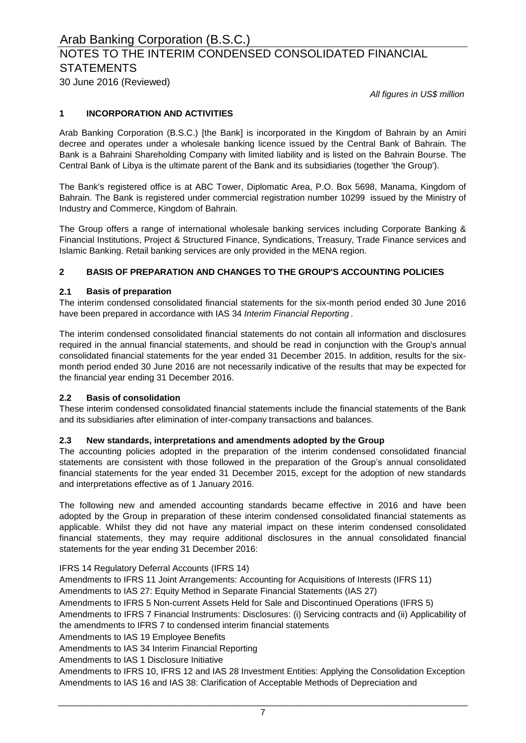# NOTES TO THE INTERIM CONDENSED CONSOLIDATED FINANCIAL **STATEMENTS**

30 June 2016 (Reviewed)

*All figures in US\$ million*

### **1 INCORPORATION AND ACTIVITIES**

Arab Banking Corporation (B.S.C.) [the Bank] is incorporated in the Kingdom of Bahrain by an Amiri decree and operates under a wholesale banking licence issued by the Central Bank of Bahrain. The Bank is a Bahraini Shareholding Company with limited liability and is listed on the Bahrain Bourse. The Central Bank of Libya is the ultimate parent of the Bank and its subsidiaries (together 'the Group').

The Bank's registered office is at ABC Tower, Diplomatic Area, P.O. Box 5698, Manama, Kingdom of Bahrain. The Bank is registered under commercial registration number 10299 issued by the Ministry of Industry and Commerce, Kingdom of Bahrain.

The Group offers a range of international wholesale banking services including Corporate Banking & Financial Institutions, Project & Structured Finance, Syndications, Treasury, Trade Finance services and Islamic Banking. Retail banking services are only provided in the MENA region.

### **2 BASIS OF PREPARATION AND CHANGES TO THE GROUP'S ACCOUNTING POLICIES**

### **2.1 Basis of preparation**

The interim condensed consolidated financial statements for the six-month period ended 30 June 2016 have been prepared in accordance with IAS 34 *Interim Financial Reporting* .

The interim condensed consolidated financial statements do not contain all information and disclosures required in the annual financial statements, and should be read in conjunction with the Group's annual consolidated financial statements for the year ended 31 December 2015. In addition, results for the sixmonth period ended 30 June 2016 are not necessarily indicative of the results that may be expected for the financial year ending 31 December 2016.

### **2.2 Basis of consolidation**

These interim condensed consolidated financial statements include the financial statements of the Bank and its subsidiaries after elimination of inter-company transactions and balances.

### **2.3 New standards, interpretations and amendments adopted by the Group**

The accounting policies adopted in the preparation of the interim condensed consolidated financial statements are consistent with those followed in the preparation of the Group's annual consolidated financial statements for the year ended 31 December 2015, except for the adoption of new standards and interpretations effective as of 1 January 2016.

The following new and amended accounting standards became effective in 2016 and have been adopted by the Group in preparation of these interim condensed consolidated financial statements as applicable. Whilst they did not have any material impact on these interim condensed consolidated financial statements, they may require additional disclosures in the annual consolidated financial statements for the year ending 31 December 2016:

IFRS 14 Regulatory Deferral Accounts (IFRS 14)

Amendments to IFRS 11 Joint Arrangements: Accounting for Acquisitions of Interests (IFRS 11) Amendments to IAS 27: Equity Method in Separate Financial Statements (IAS 27)

Amendments to IFRS 7 Financial Instruments: Disclosures: (i) Servicing contracts and (ii) Applicability of Amendments to IFRS 5 Non-current Assets Held for Sale and Discontinued Operations (IFRS 5)

the amendments to IFRS 7 to condensed interim financial statements

Amendments to IAS 19 Employee Benefits

Amendments to IAS 34 Interim Financial Reporting

Amendments to IAS 1 Disclosure Initiative

Amendments to IFRS 10, IFRS 12 and IAS 28 Investment Entities: Applying the Consolidation Exception Amendments to IAS 16 and IAS 38: Clarification of Acceptable Methods of Depreciation and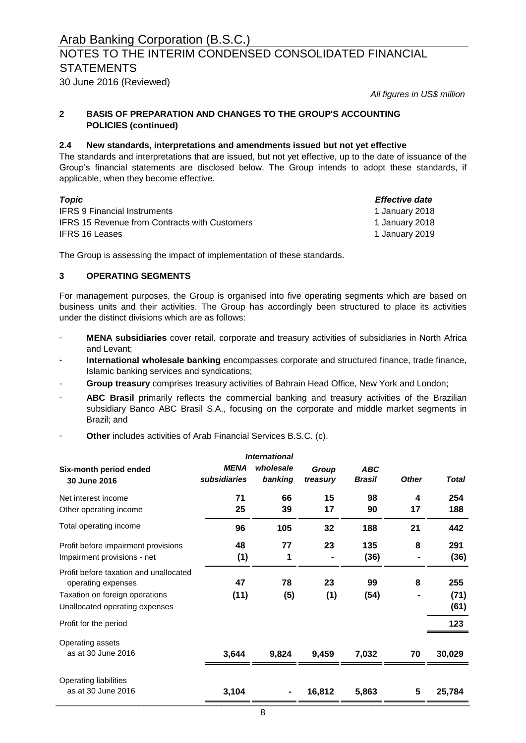### NOTES TO THE INTERIM CONDENSED CONSOLIDATED FINANCIAL **STATEMENTS**

30 June 2016 (Reviewed)

*All figures in US\$ million*

#### **2 BASIS OF PREPARATION AND CHANGES TO THE GROUP'S ACCOUNTING POLICIES (continued)**

### **2.4 New standards, interpretations and amendments issued but not yet effective**

The standards and interpretations that are issued, but not yet effective, up to the date of issuance of the Group's financial statements are disclosed below. The Group intends to adopt these standards, if applicable, when they become effective.

| Topic                                                | <i>Effective date</i> |
|------------------------------------------------------|-----------------------|
| <b>IFRS 9 Financial Instruments</b>                  | 1 January 2018        |
| <b>IFRS 15 Revenue from Contracts with Customers</b> | 1 January 2018        |
| IFRS 16 Leases                                       | 1 January 2019        |

The Group is assessing the impact of implementation of these standards.

### **3 OPERATING SEGMENTS**

For management purposes, the Group is organised into five operating segments which are based on business units and their activities. The Group has accordingly been structured to place its activities under the distinct divisions which are as follows:

- **MENA subsidiaries** cover retail, corporate and treasury activities of subsidiaries in North Africa and Levant;
- **International wholesale banking** encompasses corporate and structured finance, trade finance, Islamic banking services and syndications;
- **Group treasury** comprises treasury activities of Bahrain Head Office, New York and London;
- **ABC Brasil** primarily reflects the commercial banking and treasury activities of the Brazilian subsidiary Banco ABC Brasil S.A., focusing on the corporate and middle market segments in Brazil; and
- **Other** includes activities of Arab Financial Services B.S.C. (c).

| <b>International</b>                                         |                             |                      |                   |                             |              |              |
|--------------------------------------------------------------|-----------------------------|----------------------|-------------------|-----------------------------|--------------|--------------|
| Six-month period ended<br>30 June 2016                       | <b>MENA</b><br>subsidiaries | wholesale<br>banking | Group<br>treasury | <b>ABC</b><br><b>Brasil</b> | <b>Other</b> | <b>Total</b> |
| Net interest income                                          | 71                          | 66                   | 15                | 98                          | 4            | 254          |
| Other operating income                                       | 25                          | 39                   | 17                | 90                          | 17           | 188          |
| Total operating income                                       | 96                          | 105                  | 32                | 188                         | 21           | 442          |
| Profit before impairment provisions                          | 48                          | 77                   | 23                | 135                         | 8            | 291          |
| Impairment provisions - net                                  | (1)                         | 1                    |                   | (36)                        |              | (36)         |
| Profit before taxation and unallocated<br>operating expenses | 47                          | 78                   | 23                | 99                          | 8            | 255          |
| Taxation on foreign operations                               | (11)                        | (5)                  | (1)               | (54)                        |              | (71)         |
| Unallocated operating expenses                               |                             |                      |                   |                             |              | (61)         |
| Profit for the period                                        |                             |                      |                   |                             |              | 123          |
| Operating assets                                             |                             |                      |                   |                             |              |              |
| as at 30 June 2016                                           | 3,644                       | 9,824                | 9,459             | 7,032                       | 70           | 30,029       |
| Operating liabilities                                        |                             |                      |                   |                             |              |              |
| as at 30 June 2016                                           | 3,104                       |                      | 16,812            | 5,863                       | 5            | 25,784       |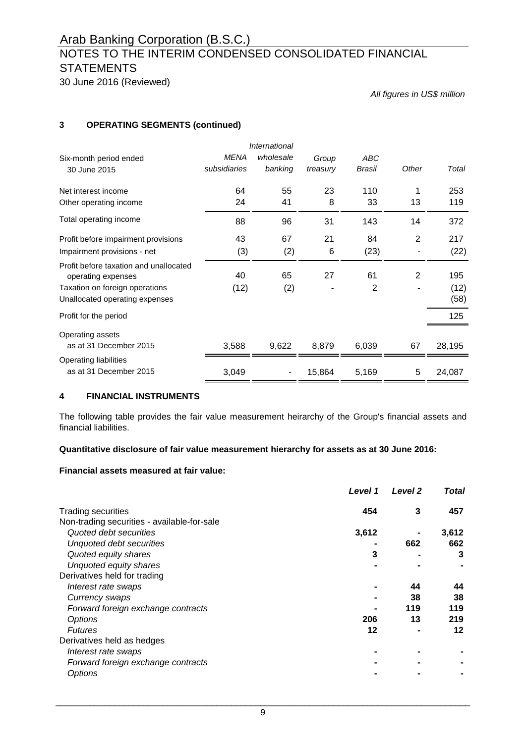# NOTES TO THE INTERIM CONDENSED CONSOLIDATED FINANCIAL **STATEMENTS**

30 June 2016 (Reviewed)

*All figures in US\$ million*

### **3 OPERATING SEGMENTS (continued)**

| International                                                |              |           |          |                |                |        |
|--------------------------------------------------------------|--------------|-----------|----------|----------------|----------------|--------|
| Six-month period ended                                       | <b>MENA</b>  | wholesale | Group    | <b>ABC</b>     |                |        |
| 30 June 2015                                                 | subsidiaries | banking   | treasury | Brasil         | Other          | Total  |
| Net interest income                                          | 64           | 55        | 23       | 110            |                | 253    |
| Other operating income                                       | 24           | 41        | 8        | 33             | 13             | 119    |
| Total operating income                                       | 88           | 96        | 31       | 143            | 14             | 372    |
| Profit before impairment provisions                          | 43           | 67        | 21       | 84             | 2              | 217    |
| Impairment provisions - net                                  | (3)          | (2)       | 6        | (23)           |                | (22)   |
| Profit before taxation and unallocated<br>operating expenses | 40           | 65        | 27       | 61             | $\overline{2}$ | 195    |
| Taxation on foreign operations                               | (12)         | (2)       |          | $\overline{2}$ |                | (12)   |
| Unallocated operating expenses                               |              |           |          |                |                | (58)   |
| Profit for the period                                        |              |           |          |                |                | 125    |
| Operating assets                                             |              |           |          |                |                |        |
| as at 31 December 2015                                       | 3,588        | 9,622     | 8,879    | 6,039          | 67             | 28,195 |
| Operating liabilities                                        |              |           |          |                |                |        |
| as at 31 December 2015                                       | 3,049        |           | 15,864   | 5,169          | 5              | 24,087 |

### **4 FINANCIAL INSTRUMENTS**

The following table provides the fair value measurement heirarchy of the Group's financial assets and financial liabilities.

### **Quantitative disclosure of fair value measurement hierarchy for assets as at 30 June 2016:**

### **Financial assets measured at fair value:**

|                                             | Level 1 | Level <sub>2</sub> | Total |
|---------------------------------------------|---------|--------------------|-------|
| <b>Trading securities</b>                   | 454     | 3                  | 457   |
| Non-trading securities - available-for-sale |         |                    |       |
| Quoted debt securities                      | 3,612   |                    | 3,612 |
| Unquoted debt securities                    |         | 662                | 662   |
| Quoted equity shares                        | 3       |                    | 3     |
| Unquoted equity shares                      |         |                    |       |
| Derivatives held for trading                |         |                    |       |
| Interest rate swaps                         |         | 44                 | 44    |
| Currency swaps                              |         | 38                 | 38    |
| Forward foreign exchange contracts          |         | 119                | 119   |
| Options                                     | 206     | 13                 | 219   |
| <b>Futures</b>                              | 12      |                    | 12    |
| Derivatives held as hedges                  |         |                    |       |
| Interest rate swaps                         |         |                    |       |
| Forward foreign exchange contracts          |         |                    |       |
| Options                                     |         |                    |       |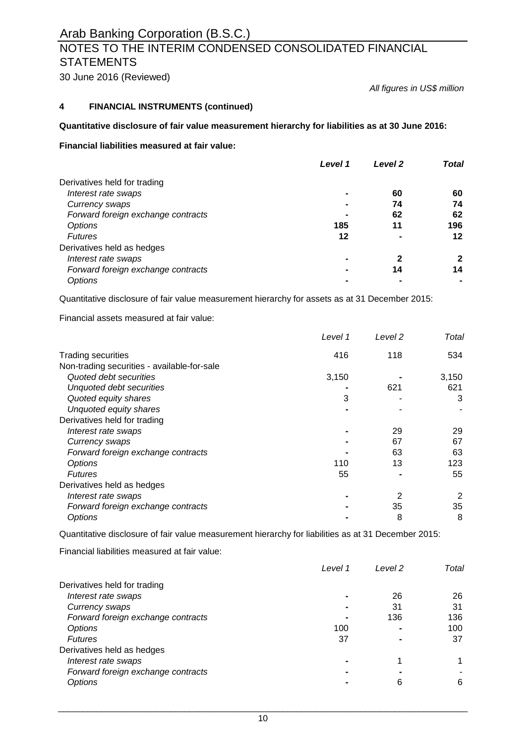# **NOTES TO THE INTERIM CONDENSED CONSOLIDATED FINANCIAL STATEMENTS**

30 June 2016 (Reviewed)

*All figures in US\$ million*

### **4 FINANCIAL INSTRUMENTS (continued)**

### **Quantitative disclosure of fair value measurement hierarchy for liabilities as at 30 June 2016:**

### **Financial liabilities measured at fair value:**

|                                    | Level 1 | Level <sub>2</sub> | Total |
|------------------------------------|---------|--------------------|-------|
| Derivatives held for trading       |         |                    |       |
| Interest rate swaps                |         | 60                 | 60    |
| Currency swaps                     |         | 74                 | 74    |
| Forward foreign exchange contracts |         | 62                 | 62    |
| Options                            | 185     | 11                 | 196   |
| <b>Futures</b>                     | 12      |                    | 12    |
| Derivatives held as hedges         |         |                    |       |
| Interest rate swaps                |         | 2                  | 2     |
| Forward foreign exchange contracts |         | 14                 | 14    |
| <b>Options</b>                     |         |                    |       |

Quantitative disclosure of fair value measurement hierarchy for assets as at 31 December 2015:

Financial assets measured at fair value:

|                                             | Level 1 | Level 2 | Total |
|---------------------------------------------|---------|---------|-------|
| <b>Trading securities</b>                   | 416     | 118     | 534   |
| Non-trading securities - available-for-sale |         |         |       |
| Quoted debt securities                      | 3,150   |         | 3,150 |
| Unquoted debt securities                    |         | 621     | 621   |
| Quoted equity shares                        | 3       |         | 3     |
| Unquoted equity shares                      |         |         |       |
| Derivatives held for trading                |         |         |       |
| Interest rate swaps                         |         | 29      | 29    |
| Currency swaps                              |         | 67      | 67    |
| Forward foreign exchange contracts          |         | 63      | 63    |
| Options                                     | 110     | 13      | 123   |
| <b>Futures</b>                              | 55      |         | 55    |
| Derivatives held as hedges                  |         |         |       |
| Interest rate swaps                         |         | 2       | 2     |
| Forward foreign exchange contracts          |         | 35      | 35    |
| Options                                     |         | 8       | 8     |

Quantitative disclosure of fair value measurement hierarchy for liabilities as at 31 December 2015:

Financial liabilities measured at fair value:

|                                    | Level 1 | Level 2 | Total |
|------------------------------------|---------|---------|-------|
| Derivatives held for trading       |         |         |       |
| Interest rate swaps                |         | 26      | 26    |
| Currency swaps                     |         | 31      | 31    |
| Forward foreign exchange contracts |         | 136     | 136   |
| Options                            | 100     |         | 100   |
| <b>Futures</b>                     | 37      |         | 37    |
| Derivatives held as hedges         |         |         |       |
| Interest rate swaps                |         |         |       |
| Forward foreign exchange contracts |         |         |       |
| Options                            |         | 6       | 6     |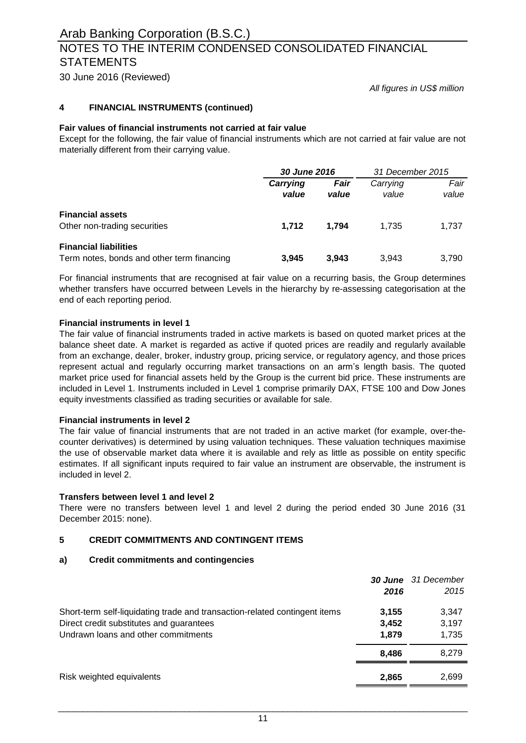# NOTES TO THE INTERIM CONDENSED CONSOLIDATED FINANCIAL **STATEMENTS**

30 June 2016 (Reviewed)

*All figures in US\$ million*

### **4 FINANCIAL INSTRUMENTS (continued)**

### **Fair values of financial instruments not carried at fair value**

Except for the following, the fair value of financial instruments which are not carried at fair value are not materially different from their carrying value.

|                                                                            |                   | 30 June 2016  |                   | 31 December 2015 |  |
|----------------------------------------------------------------------------|-------------------|---------------|-------------------|------------------|--|
|                                                                            | Carrying<br>value | Fair<br>value | Carrying<br>value | Fair<br>value    |  |
| <b>Financial assets</b><br>Other non-trading securities                    | 1.712             | 1.794         | 1.735             | 1.737            |  |
| <b>Financial liabilities</b><br>Term notes, bonds and other term financing | 3.945             | 3.943         | 3.943             | 3.790            |  |

For financial instruments that are recognised at fair value on a recurring basis, the Group determines whether transfers have occurred between Levels in the hierarchy by re-assessing categorisation at the end of each reporting period.

### **Financial instruments in level 1**

The fair value of financial instruments traded in active markets is based on quoted market prices at the balance sheet date. A market is regarded as active if quoted prices are readily and regularly available from an exchange, dealer, broker, industry group, pricing service, or regulatory agency, and those prices represent actual and regularly occurring market transactions on an arm's length basis. The quoted market price used for financial assets held by the Group is the current bid price. These instruments are included in Level 1. Instruments included in Level 1 comprise primarily DAX, FTSE 100 and Dow Jones equity investments classified as trading securities or available for sale.

### **Financial instruments in level 2**

The fair value of financial instruments that are not traded in an active market (for example, over-thecounter derivatives) is determined by using valuation techniques. These valuation techniques maximise the use of observable market data where it is available and rely as little as possible on entity specific estimates. If all significant inputs required to fair value an instrument are observable, the instrument is included in level 2.

### **Transfers between level 1 and level 2**

There were no transfers between level 1 and level 2 during the period ended 30 June 2016 (31 December 2015: none).

### **5 CREDIT COMMITMENTS AND CONTINGENT ITEMS**

### **a) Credit commitments and contingencies**

|                                                                            |       | <b>30 June</b> 31 December |
|----------------------------------------------------------------------------|-------|----------------------------|
|                                                                            | 2016  | 2015                       |
| Short-term self-liquidating trade and transaction-related contingent items | 3,155 | 3,347                      |
| Direct credit substitutes and guarantees                                   | 3,452 | 3,197                      |
| Undrawn loans and other commitments                                        | 1.879 | 1,735                      |
|                                                                            | 8.486 | 8.279                      |
| Risk weighted equivalents                                                  | 2,865 | 2,699                      |